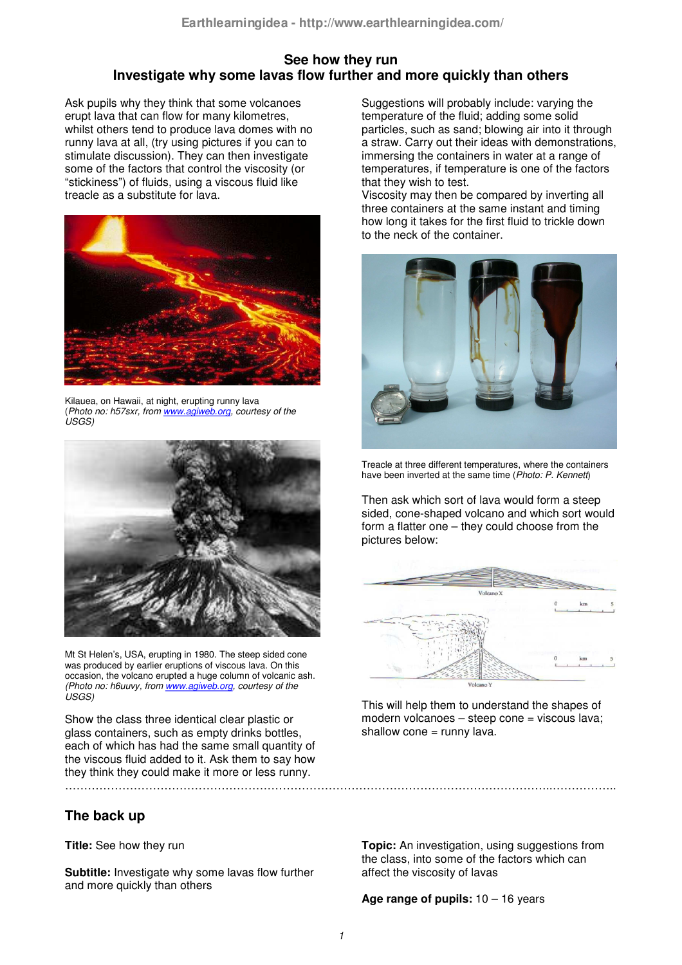## **See how they run Investigate why some lavas flow further and more quickly than others**

Ask pupils why they think that some volcanoes erupt lava that can flow for many kilometres, whilst others tend to produce lava domes with no runny lava at all, (try using pictures if you can to stimulate discussion). They can then investigate some of the factors that control the viscosity (or "stickiness") of fluids, using a viscous fluid like treacle as a substitute for lava.



Kilauea, on Hawaii, at night, erupting runny lava (*Photo no: h57sxr, from www.agiweb.org, courtesy of the USGS)*



Mt St Helen's, USA, erupting in 1980. The steep sided cone was produced by earlier eruptions of viscous lava. On this occasion, the volcano erupted a huge column of volcanic ash. *(Photo no: h6uuvy, from www.agiweb.org, courtesy of the USGS)*

Show the class three identical clear plastic or glass containers, such as empty drinks bottles, each of which has had the same small quantity of the viscous fluid added to it. Ask them to say how they think they could make it more or less runny. ………………………………………………………………………………………………………………..……………..

# **The back up**

**Title:** See how they run

**Subtitle:** Investigate why some lavas flow further and more quickly than others

Suggestions will probably include: varying the temperature of the fluid; adding some solid particles, such as sand; blowing air into it through a straw. Carry out their ideas with demonstrations, immersing the containers in water at a range of temperatures, if temperature is one of the factors that they wish to test.

Viscosity may then be compared by inverting all three containers at the same instant and timing how long it takes for the first fluid to trickle down to the neck of the container.



Treacle at three different temperatures, where the containers have been inverted at the same time (*Photo: P. Kennett*)

Then ask which sort of lava would form a steep sided, cone-shaped volcano and which sort would form a flatter one – they could choose from the pictures below:



This will help them to understand the shapes of modern volcanoes – steep cone = viscous lava; shallow  $cone = runny$  lava.

**Topic:** An investigation, using suggestions from the class, into some of the factors which can affect the viscosity of lavas

#### **Age range of pupils:** 10 – 16 years